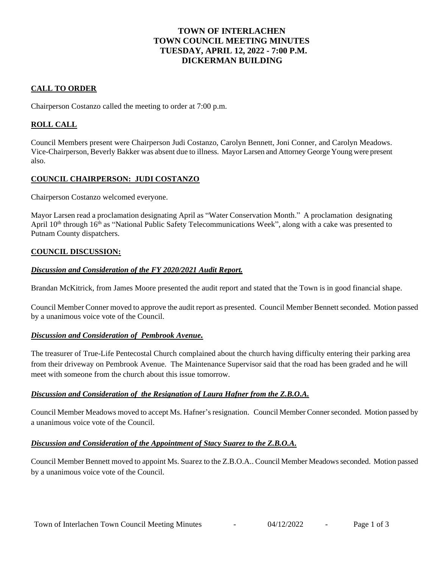# **TOWN OF INTERLACHEN TOWN COUNCIL MEETING MINUTES TUESDAY, APRIL 12, 2022 - 7:00 P.M. DICKERMAN BUILDING**

# **CALL TO ORDER**

Chairperson Costanzo called the meeting to order at 7:00 p.m.

# **ROLL CALL**

Council Members present were Chairperson Judi Costanzo, Carolyn Bennett, Joni Conner, and Carolyn Meadows. Vice-Chairperson, Beverly Bakker was absent due to illness. Mayor Larsen and Attorney George Young were present also.

### **COUNCIL CHAIRPERSON: JUDI COSTANZO**

Chairperson Costanzo welcomed everyone.

Mayor Larsen read a proclamation designating April as "Water Conservation Month." A proclamation designating April 10<sup>th</sup> through 16<sup>th</sup> as "National Public Safety Telecommunications Week", along with a cake was presented to Putnam County dispatchers.

### **COUNCIL DISCUSSION:**

#### *Discussion and Consideration of the FY 2020/2021 Audit Report.*

Brandan McKitrick, from James Moore presented the audit report and stated that the Town is in good financial shape.

Council Member Conner moved to approve the audit report as presented. Council Member Bennett seconded. Motion passed by a unanimous voice vote of the Council.

### *Discussion and Consideration of Pembrook Avenue.*

The treasurer of True-Life Pentecostal Church complained about the church having difficulty entering their parking area from their driveway on Pembrook Avenue. The Maintenance Supervisor said that the road has been graded and he will meet with someone from the church about this issue tomorrow.

### *Discussion and Consideration of the Resignation of Laura Hafner from the Z.B.O.A.*

Council Member Meadows moved to accept Ms. Hafner's resignation. Council Member Conner seconded. Motion passed by a unanimous voice vote of the Council.

### *Discussion and Consideration of the Appointment of Stacy Suarez to the Z.B.O.A.*

Council Member Bennett moved to appoint Ms. Suarez to the Z.B.O.A.. Council Member Meadowsseconded. Motion passed by a unanimous voice vote of the Council.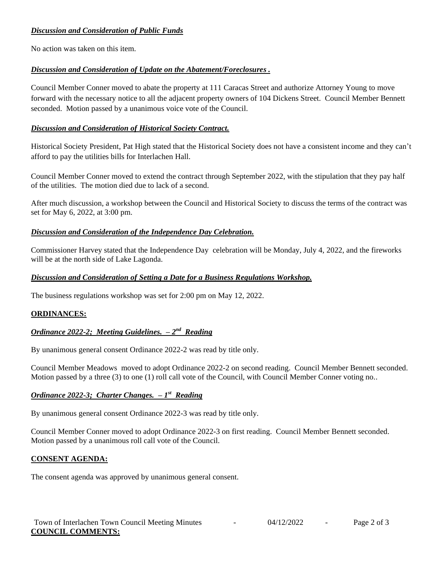# *Discussion and Consideration of Public Funds*

No action was taken on this item.

# *Discussion and Consideration of Update on the Abatement/Foreclosures .*

Council Member Conner moved to abate the property at 111 Caracas Street and authorize Attorney Young to move forward with the necessary notice to all the adjacent property owners of 104 Dickens Street. Council Member Bennett seconded. Motion passed by a unanimous voice vote of the Council.

### *Discussion and Consideration of Historical Society Contract.*

Historical Society President, Pat High stated that the Historical Society does not have a consistent income and they can't afford to pay the utilities bills for Interlachen Hall.

Council Member Conner moved to extend the contract through September 2022, with the stipulation that they pay half of the utilities. The motion died due to lack of a second.

After much discussion, a workshop between the Council and Historical Society to discuss the terms of the contract was set for May 6, 2022, at 3:00 pm.

### *Discussion and Consideration of the Independence Day Celebration.*

Commissioner Harvey stated that the Independence Day celebration will be Monday, July 4, 2022, and the fireworks will be at the north side of Lake Lagonda.

### *Discussion and Consideration of Setting a Date for a Business Regulations Workshop.*

The business regulations workshop was set for 2:00 pm on May 12, 2022.

### **ORDINANCES:**

# *Ordinance 2022-2; Meeting Guidelines. – 2 nd Reading*

By unanimous general consent Ordinance 2022-2 was read by title only.

Council Member Meadows moved to adopt Ordinance 2022-2 on second reading. Council Member Bennett seconded. Motion passed by a three (3) to one (1) roll call vote of the Council, with Council Member Conner voting no..

### *Ordinance 2022-3; Charter Changes. – 1 st Reading*

By unanimous general consent Ordinance 2022-3 was read by title only.

Council Member Conner moved to adopt Ordinance 2022-3 on first reading. Council Member Bennett seconded. Motion passed by a unanimous roll call vote of the Council.

### **CONSENT AGENDA:**

The consent agenda was approved by unanimous general consent.